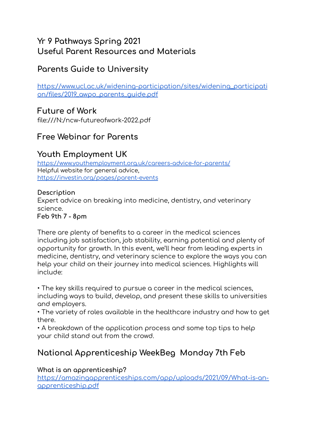## **Yr 9 Pathways Spring 2021 Useful Parent Resources and Materials**

# **Parents Guide to University**

[https://www.ucl.ac.uk/widening-participation/sites/widening\\_participati](https://www.ucl.ac.uk/widening-participation/sites/widening_participation/files/2019_awpo_parents_guide.pdf) [on/files/2019\\_awpo\\_parents\\_guide.pdf](https://www.ucl.ac.uk/widening-participation/sites/widening_participation/files/2019_awpo_parents_guide.pdf)

### **Future of Work**

file:///N:/ncw-futureofwork-2022.pdf

## **Free Webinar for Parents**

## **Youth Employment UK**

<https://www.youthemployment.org.uk/careers-advice-for-parents/> Helpful website for general advice, <https://investin.org/pages/parent-events>

### **Description**

Expert advice on breaking into medicine, dentistry, and veterinary science.

**Feb 9th 7 - 8pm**

There are plenty of benefits to a career in the medical sciences including job satisfaction, job stability, earning potential and plenty of opportunity for growth. In this event, we'll hear from leading experts in medicine, dentistry, and veterinary science to explore the ways you can help your child on their journey into medical sciences. Highlights will include:

• The key skills required to pursue a career in the medical sciences, including ways to build, develop, and present these skills to universities and employers.

• The variety of roles available in the healthcare industry and how to get there.

• A breakdown of the application process and some top tips to help your child stand out from the crowd.

# **National Apprenticeship WeekBeg Monday 7th Feb**

**What is an apprenticeship?**

[https://amazingapprenticeships.com/app/uploads/2021/09/What-is-an](https://amazingapprenticeships.com/app/uploads/2021/09/What-is-an-apprenticeship.pdf)[apprenticeship.pdf](https://amazingapprenticeships.com/app/uploads/2021/09/What-is-an-apprenticeship.pdf)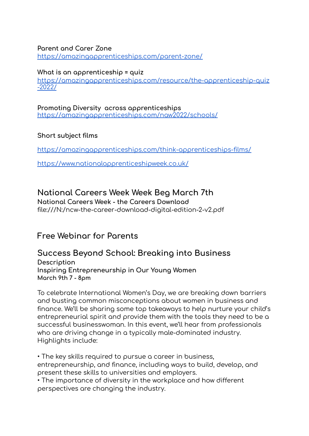#### **Parent and Carer Zone**

<https://amazingapprenticeships.com/parent-zone/>

#### **What is an apprenticeship = quiz**

[https://amazingapprenticeships.com/resource/the-apprenticeship-quiz](https://amazingapprenticeships.com/resource/the-apprenticeship-quiz-2022/) [-2022/](https://amazingapprenticeships.com/resource/the-apprenticeship-quiz-2022/)

#### **Promoting Diversity across apprenticeships** <https://amazingapprenticeships.com/naw2022/schools/>

#### **Short subject films**

<https://amazingapprenticeships.com/think-apprenticeships-films/>

<https://www.nationalapprenticeshipweek.co.uk/>

### **National Careers Week Week Beg March 7th**

**National Careers Week - the Careers Download** file:///N:/ncw-the-career-download-digital-edition-2-v2.pdf

### **Free Webinar for Parents**

### **Success Beyond School: Breaking into Business Description**

**Inspiring Entrepreneurship in Our Young Women March 9th 7 - 8pm**

To celebrate International Women's Day, we are breaking down barriers and busting common misconceptions about women in business and finance. We'll be sharing some top takeaways to help nurture your child's entrepreneurial spirit and provide them with the tools they need to be a successful businesswoman. In this event, we'll hear from professionals who are driving change in a typically male-dominated industry. Highlights include:

• The key skills required to pursue a career in business, entrepreneurship, and finance, including ways to build, develop, and present these skills to universities and employers.

• The importance of diversity in the workplace and how different perspectives are changing the industry.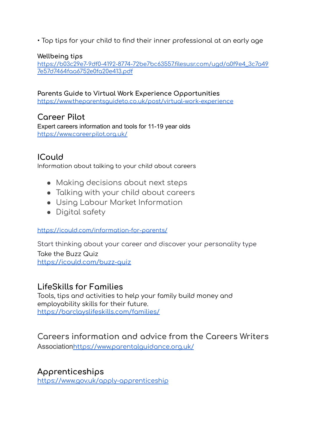• Top tips for your child to find their inner professional at an early age

### **Wellbeing tips**

[https://b03c29e7-9df0-4192-8774-72be7bc63557.filesusr.com/ugd/a0f9e4\\_3c7a49](https://b03c29e7-9df0-4192-8774-72be7bc63557.filesusr.com/ugd/a0f9e4_3c7a497e57d7464faa6752e0fa20e413.pdf) [7e57d7464faa6752e0fa20e413.pdf](https://b03c29e7-9df0-4192-8774-72be7bc63557.filesusr.com/ugd/a0f9e4_3c7a497e57d7464faa6752e0fa20e413.pdf)

**Parents Guide to Virtual Work Experience Opportunities** <https://www.theparentsguideto.co.uk/post/virtual-work-experience>

## **Career Pilot**

Expert careers information and tools for 11-19 year olds <https://www.careerpilot.org.uk/>

# **ICould**

Information about talking to your child about careers

- Making decisions about next steps
- Talking with your child about careers
- Using Labour Market Information
- Digital safety

#### <https://icould.com/information-for-parents/>

Start thinking about your career and discover your personality type Take the Buzz Quiz <https://icould.com/buzz-quiz>

### **LifeSkills for Families**

Tools, tips and activities to help your family build money and employability skills for their future. <https://barclayslifeskills.com/families/>

## **Careers information and advice from the Careers Writers**

Association<https://www.parentalguidance.org.uk/>

### **Apprenticeships**

<https://www.gov.uk/apply-apprenticeship>